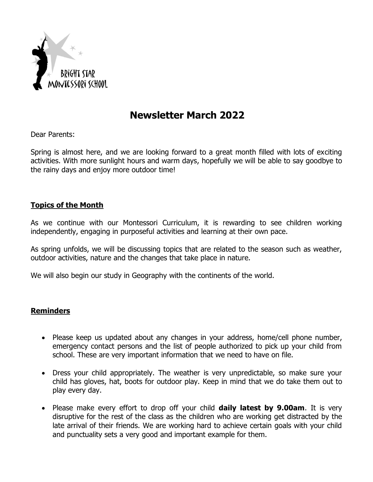

## **Newsletter March 2022**

Dear Parents:

Spring is almost here, and we are looking forward to a great month filled with lots of exciting activities. With more sunlight hours and warm days, hopefully we will be able to say goodbye to the rainy days and enjoy more outdoor time!

## **Topics of the Month**

As we continue with our Montessori Curriculum, it is rewarding to see children working independently, engaging in purposeful activities and learning at their own pace.

As spring unfolds, we will be discussing topics that are related to the season such as weather, outdoor activities, nature and the changes that take place in nature.

We will also begin our study in Geography with the continents of the world.

## **Reminders**

- Please keep us updated about any changes in your address, home/cell phone number, emergency contact persons and the list of people authorized to pick up your child from school. These are very important information that we need to have on file.
- Dress your child appropriately. The weather is very unpredictable, so make sure your child has gloves, hat, boots for outdoor play. Keep in mind that we do take them out to play every day.
- Please make every effort to drop off your child **daily latest by 9.00am**. It is very disruptive for the rest of the class as the children who are working get distracted by the late arrival of their friends. We are working hard to achieve certain goals with your child and punctuality sets a very good and important example for them.